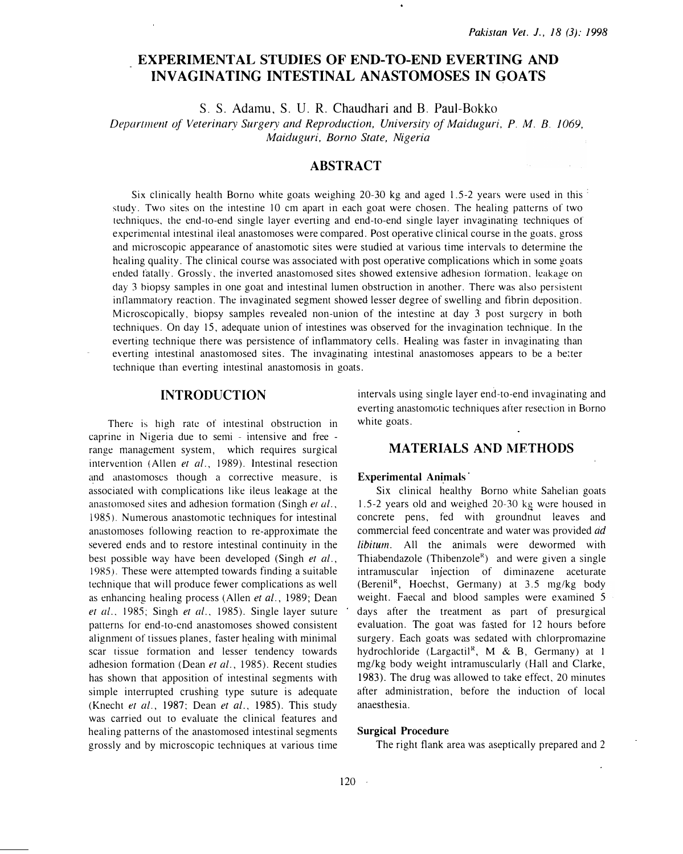# EXPERIMENTAL STUDIES OF END-TO-END EVERTING AND INVAGINATING INTESTINAL ANASTOMOSES IN GOATS

S. S. Adamu, S. U. R. Chaudhari and B. Paul-Bokko

Departmenr of Veterinary Surgery and Reproduction, Universiry of Maiduguri, P. M. B. 1069, Maiduguri, Barno State, Nigeria

## ABSTRACT

Six clinically health Borno white goats weighing 20-30 kg and aged 1.5-2 years were used in this  $\frac{1}{2}$ study. Two sites on the intestine 10 em apart in each goat were chosen. The healing patterns of two techniques, the cnd-ro-end single layer everting and end-to-end single layer invaginating techniques of experimental intestinal ileal anastomoses were compared. Post operative clinical course in the goats, gross and microscopic appearance of anastomotic sites were studied at various time intervals to determine the healing quality. The clinical course was associated with post operative complications which in some goats ended fatally. Grossly. the inverted anastomosed sites showed extensive adhesion formation. leakage on day 3 biopsy samples in one goat and intestinal lumen obstruction in another. There was also persistem int1ammatory reaction. The invaginated segment showed lesser degree of swelling and fibrin deposition. Microscopically, biopsy samples revealed non-union of the intestine at day 3 post surgery in both techniques. On day 15, adequate union of intestines was observed for the invagination technique. In the everting technique there was persistence of intlammatory cells. Healing was faster in invaginating than everting intestinal anastomosed sites. The invaginating intestinal anastomoses appears to be a better technique than everting intestinal anastomosis in goats.

## INTRODUCTION

There is high rate of intestinal obstruction in caprine in Nigeria due to semi - intensive and free range management system, which requires surgical intervention (Allen et al., 1989). Intestinal resection and anastomoses though a corrective measure, is associated with complications like ileus leakage at the anastomosed sites and adhesion formation (Singh er al., 1985). Numerous anastomotic techniques for intestinal anastomoses following reaction to re-approximate the severed ends and to restore intestinal continuity in the best possible way have been developed (Singh et al., 19R5). These were attempted towards finding a suitable technique that will produce fewer complications as well as enhancing healing process (Allen et al., 1989; Dean et al., 1985; Singh et al., 1985). Single layer suture patterns for end-to-end anastomoses showed consistent alignmenr of tissues planes, faster healing with minimal scar tissue formation and lesser tendency towards adhesion formation (Dean et al., 1985). Recent studies has shown that apposition of intestinal segments with simple interrupted crushing type suture is adequate (Knecht et al., 1987; Dean et al., 1985). This study was carried out to evaluate the clinical features and healing patterns of the anastomosed intestinal segments grossly and by microscopic techniques at various time intervals using single layer end-to-end invaginating and everting anastomotic techniques after resection in Borno white goats.

## MATERIALS AND METHODS

#### Experimental Animals

Six clinical healthy Borno white Sahelian goats 1.5-2 years old and weighed 20-30 kg were housed in concrete pens, fed with groundnut leaves and commercial feed concentrate and water was provided ad libitum. All the animals were dewormed with Thiabendazole (Thibenzole<sup>R</sup>) and were given a single intramuscular injection of diminazene aceturate (Berenil<sup>R</sup>, Hoechst, Germany) at 3.5 mg/kg body weight. Faecal and blood samples were examined 5 days after the treatment as part of presurgical evaluation. The goat was fasted for 12 hours before surgery. Each goats was sedated with chlorpromazine hydrochloride (Largactil<sup>R</sup>, M & B, Germany) at 1 mg/kg body weight intramuscularly (Hall and Clarke, 1983). The drug was allowed to take effect, 20 minutes after administration, before the induction of local anaesthesia.

### Surgical Procedure

The right flank area was aseptically prepared and 2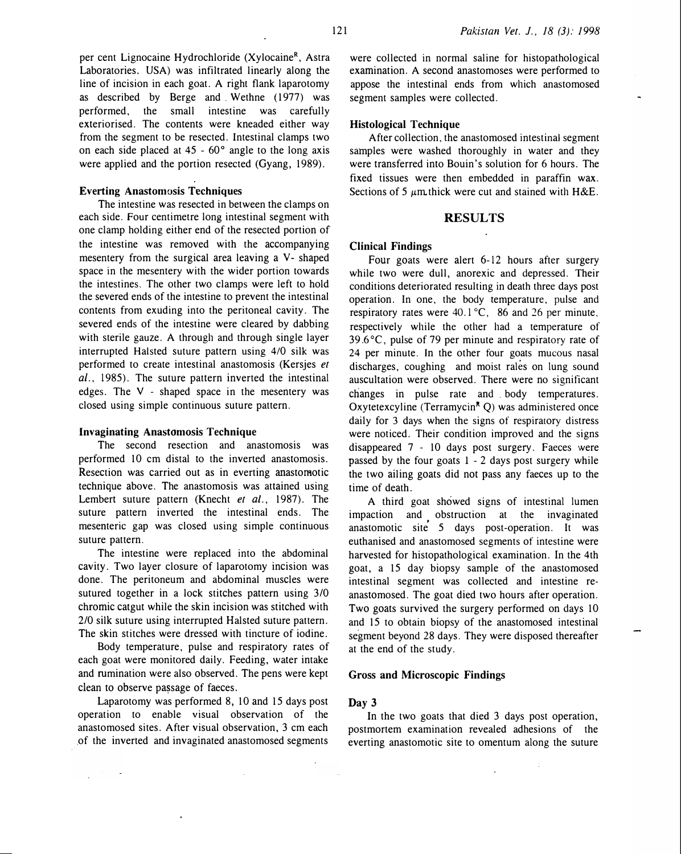per cent Lignocaine Hydrochloride (Xylocaine<sup>R</sup>, Astra Laboratories. USA) was infiltrated linearly along the line of incision in each goat. A right flank laparotomy as described by Berge and Wethne (1977) was performed, the small intestine was carefully exteriorised. The contents were kneaded either way from the segment to be resected. Intestinal clamps two on each side placed at  $45 - 60^\circ$  angle to the long axis were applied and the portion resected (Gyang, 1989).

## Everting Anastomosis Techniques

The intestine was resected in between the clamps on each side. Four centimetre long intestinal segment with one clamp holding either end of the resected portion of the intestine was removed with the accompanying mesentery from the surgical area leaving a V- shaped space in the mesentery with the wider portion towards the intestines. The other two clamps were left to hold the severed ends of the intestine to prevent the intestinal contents from exuding into the peritoneal cavity. The severed ends of the intestine were cleared by dabbing with sterile gauze. A through and through single layer interrupted Halsted suture pattern using 4/0 silk was performed to create intestinal anastomosis (Kersjes et al., 1985). The suture pattern inverted the intestinal edges. The V - shaped space in the mesentery was closed using simple continuous suture pattern.

#### Invaginating Anastomosis Technique

The second resection and anastomosis was performed 10 em distal to the inverted anastomosis. Resection was carried out as in everting anastomotic technique above. The anastomosis was attained using Lembert suture pattern (Knecht et al., 1987). The suture pattern inverted the intestinal ends. The mesenteric gap was closed using simple continuous suture pattern.

The intestine were replaced into the abdominal cavity. Two layer closure of laparotomy incision was done. The peritoneum and abdominal muscles were sutured together in a lock stitches pattern using 3/0 chromic catgut while the skin incision was stitched with 2/0 silk suture using interrupted Halsted suture pattern. The skin stitches were dressed with tincture of iodine.

Body temperature, pulse and respiratory rates of each goat were monitored daily. Feeding, water intake and rumination were also observed. The pens were kept clean to observe pa�sage of faeces.

Laparotomy was performed 8, 10 and 15 days post operation to enable visual observation of the anastomosed sites. After visual observation, 3 em each .of the inverted and invaginated anastomosed segments were collected in normal saline for histopathological examination. A second anastomoses were performed to appose the intestinal ends from which anastomosed segment samples were collected.

#### Histological Technique

After collection, the anastomosed intestinal segment samples were washed thoroughly in water and they were transferred into Bouin's solution for 6 hours. The fixed tissues were then embedded in paraffin wax. Sections of 5  $\mu$ m thick were cut and stained with H&E.

#### RESULTS

#### Clinical Findings

Four goats were alert 6-12 hours after surgery while two were dull, anorexic and depressed. Their conditions deteriorated resulting in death three days post operation. In one. the body temperature. pulse and respiratory rates were 40.1 °C, 86 and 26 per minute, respectively while the other had a temperature of 39.6°C, pulse of 79 per minute and respiratory rate of 24 per minute. In the other four goats mucous nasal discharges, coughing and moist rales on lung sound auscultation were observed. There were no significant changes in pulse rate and body temperatures. Oxytetexcyline (Terramycin<sup>R</sup> Q) was administered once daily for 3 days when the signs of respiratory distress were noticed. Their condition improved and the signs disappeared 7 - 10 days post surgery. Faeces were passed by the four goats 1 - 2 days post surgery while the two ailing goats did not pass any faeces up to the time of death.

A third goat showed signs of intestinal lumen impaction and obstruction at the invaginated anastomotic site 5 days post-operation. It was euthanised and anastomosed segments of intestine were harvested for histopathological examination. In the 4th goat, a 15 day biopsy sample of the anastomosed intestinal segment was collected and intestine reanastomosed. The goat died two hours after operation. Two goats survived the surgery performed on days 10 and 15 to obtain biopsy of the anastomosed intestinal segment beyond 28 days. They were disposed thereafter at the end of the study.

## Gross and Microscopic Findings

#### Day 3

In the two goats that died 3 days post operation, postmortem examination revealed adhesions of the everting anastomotic site to omentum along the suture